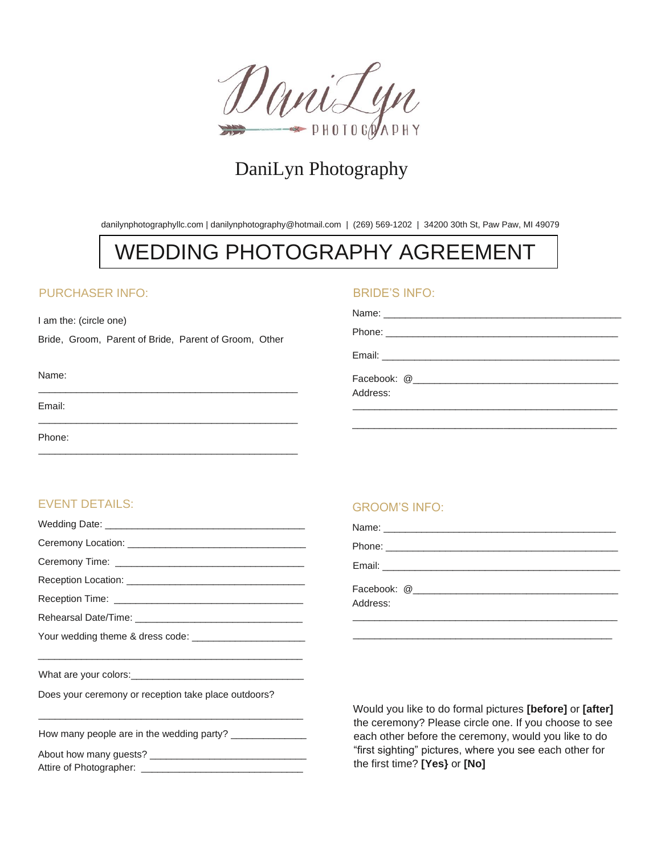

# DaniLyn Photography

danilynphotographyllc.com | danilynphotography@hotmail.com | (269) 569-1202 | 34200 30th St, Paw Paw, MI 49079

# WEDDING PHOTOGRAPHY AGREEMENT

# PURCHASER INFO:

I am the: (circle one)

Bride, Groom, Parent of Bride, Parent of Groom, Other

\_\_\_\_\_\_\_\_\_\_\_\_\_\_\_\_\_\_\_\_\_\_\_\_\_\_\_\_\_\_\_\_\_\_\_\_\_\_\_\_\_\_\_\_\_\_\_\_

\_\_\_\_\_\_\_\_\_\_\_\_\_\_\_\_\_\_\_\_\_\_\_\_\_\_\_\_\_\_\_\_\_\_\_\_\_\_\_\_\_\_\_\_\_\_\_\_

### BRIDE'S INFO:

| Address: |
|----------|

\_\_\_\_\_\_\_\_\_\_\_\_\_\_\_\_\_\_\_\_\_\_\_\_\_\_\_\_\_\_\_\_\_\_\_\_\_\_\_\_\_\_\_\_\_\_\_\_\_

#### Name: \_\_\_\_\_\_\_\_\_\_\_\_\_\_\_\_\_\_\_\_\_\_\_\_\_\_\_\_\_\_\_\_\_\_\_\_\_\_\_\_\_\_\_\_\_\_\_\_

Email:

Phone:

# EVENT DETAILS:

| $\sim$ . The contract of the contract of the contract of the contract of the contract of the contract of the contract of the contract of the contract of the contract of the contract of the contract of the contract of the co |
|---------------------------------------------------------------------------------------------------------------------------------------------------------------------------------------------------------------------------------|

Does your ceremony or reception take place outdoors?

| How many people are in the wedding party? ___ |
|-----------------------------------------------|
|-----------------------------------------------|

About how many guests? \_\_\_\_\_\_\_\_\_\_\_\_\_\_\_\_\_\_\_\_\_\_\_\_\_\_\_\_\_ Attire of Photographer: \_\_\_\_\_\_\_\_\_\_\_\_\_\_\_\_\_\_\_\_\_\_\_\_\_\_\_\_\_\_

\_\_\_\_\_\_\_\_\_\_\_\_\_\_\_\_\_\_\_\_\_\_\_\_\_\_\_\_\_\_\_\_\_\_\_\_\_\_\_\_\_\_\_\_\_\_\_\_\_

# GROOM'S INFO:

| Address: |
|----------|

\_\_\_\_\_\_\_\_\_\_\_\_\_\_\_\_\_\_\_\_\_\_\_\_\_\_\_\_\_\_\_\_\_\_\_\_\_\_\_\_\_\_\_\_\_\_\_\_

Would you like to do formal pictures **[before]** or **[after]** the ceremony? Please circle one. If you choose to see each other before the ceremony, would you like to do "first sighting" pictures, where you see each other for the first time? **[Yes}** or **[No]**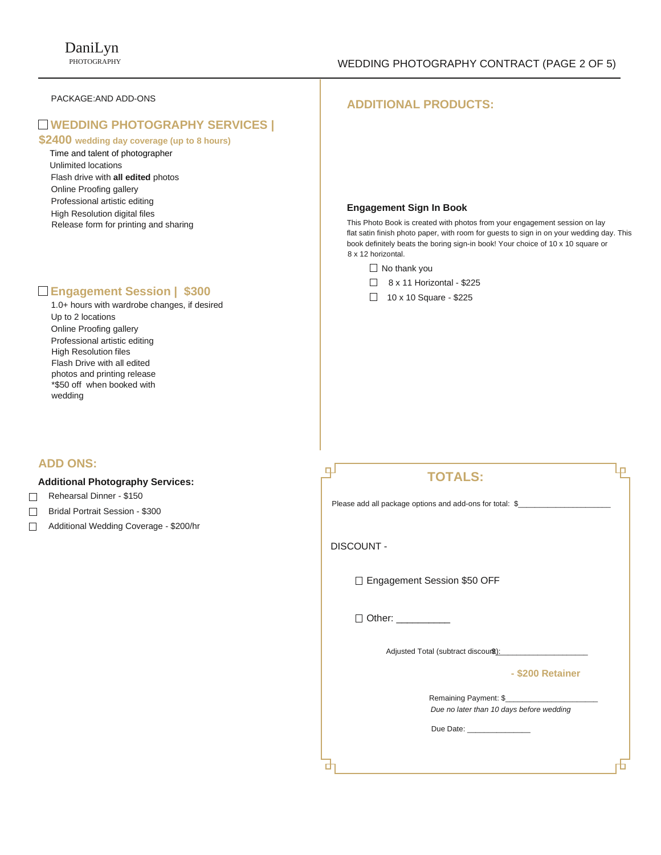#### PACKAGE:AND ADD-ONS

# **WEDDING PHOTOGRAPHY SERVICES |**

# **\$2400 wedding day coverage (up to 8 hours)**

 Time and talent of photographer Unlimited locations Flash drive with **all edited** photos Online Proofing gallery Professional artistic editing High Resolution digital files Release form for printing and sharing

# **Engagement Session | \$300**

1.0+ hours with wardrobe changes, if desired Up to 2 locations Online Proofing gallery Professional artistic editing High Resolution files Flash Drive with all edited photos and printing release \*\$50 off when booked with wedding

# **ADD ONS:**

#### **Additional Photography Services:**

- Rehearsal Dinner \$150  $\Box$
- Bridal Portrait Session \$300
- $\Box$ Additional Wedding Coverage - \$200/hr

### **ADDITIONAL PRODUCTS:**

#### **Engagement Sign In Book**

This Photo Book is created with photos from your engagement session on lay flat satin finish photo paper, with room for guests to sign in on your wedding day. This book definitely beats the boring sign-in book! Your choice of 10 x 10 square or 8 x 12 horizontal.

- $\Box$  No thank you
- $\Box$  8 x 11 Horizontal \$225
- $\Box$  10 x 10 Square \$225

| <b>TOTALS:</b>                                                    |  |
|-------------------------------------------------------------------|--|
| Please add all package options and add-ons for total: \$          |  |
| <b>DISCOUNT -</b>                                                 |  |
| □ Engagement Session \$50 OFF                                     |  |
| □ Other: __________                                               |  |
|                                                                   |  |
| - \$200 Retainer                                                  |  |
| Remaining Payment: \$<br>Due no later than 10 days before wedding |  |
| Due Date: <u>________________</u>                                 |  |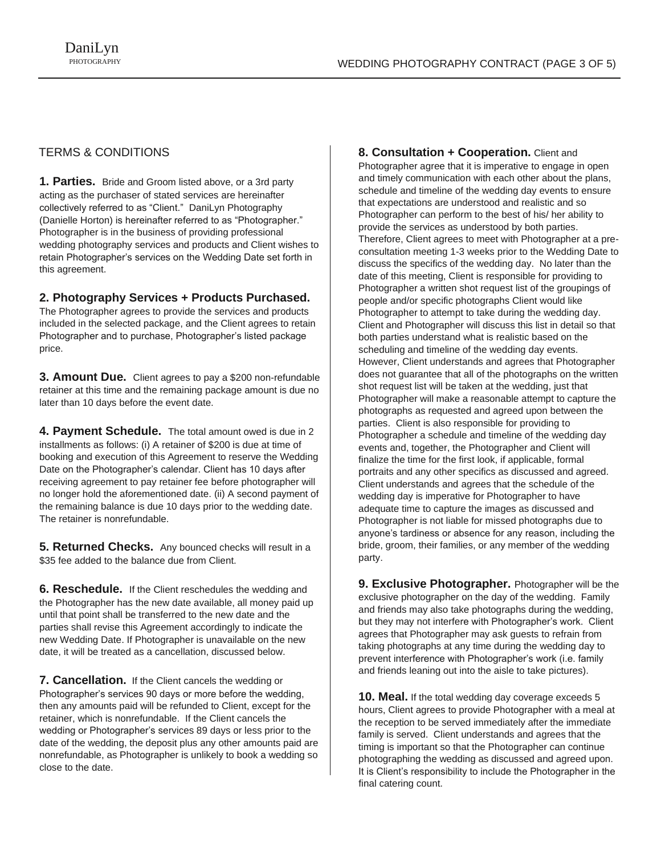# TERMS & CONDITIONS

**1. Parties.** Bride and Groom listed above, or a 3rd party acting as the purchaser of stated services are hereinafter collectively referred to as "Client." DaniLyn Photography (Danielle Horton) is hereinafter referred to as "Photographer." Photographer is in the business of providing professional wedding photography services and products and Client wishes to retain Photographer's services on the Wedding Date set forth in this agreement.

### **2. Photography Services + Products Purchased.**

The Photographer agrees to provide the services and products included in the selected package, and the Client agrees to retain Photographer and to purchase, Photographer's listed package price.

**3. Amount Due.** Client agrees to pay a \$200 non-refundable retainer at this time and the remaining package amount is due no later than 10 days before the event date.

**4. Payment Schedule.** The total amount owed is due in 2 installments as follows: (i) A retainer of \$200 is due at time of booking and execution of this Agreement to reserve the Wedding Date on the Photographer's calendar. Client has 10 days after receiving agreement to pay retainer fee before photographer will no longer hold the aforementioned date. (ii) A second payment of the remaining balance is due 10 days prior to the wedding date. The retainer is nonrefundable.

**5. Returned Checks.** Any bounced checks will result in a \$35 fee added to the balance due from Client.

**6. Reschedule.** If the Client reschedules the wedding and the Photographer has the new date available, all money paid up until that point shall be transferred to the new date and the parties shall revise this Agreement accordingly to indicate the new Wedding Date. If Photographer is unavailable on the new date, it will be treated as a cancellation, discussed below.

**7. Cancellation.** If the Client cancels the wedding or Photographer's services 90 days or more before the wedding, then any amounts paid will be refunded to Client, except for the retainer, which is nonrefundable. If the Client cancels the wedding or Photographer's services 89 days or less prior to the date of the wedding, the deposit plus any other amounts paid are nonrefundable, as Photographer is unlikely to book a wedding so close to the date.

**8. Consultation + Cooperation.** Client and Photographer agree that it is imperative to engage in open and timely communication with each other about the plans, schedule and timeline of the wedding day events to ensure that expectations are understood and realistic and so Photographer can perform to the best of his/ her ability to provide the services as understood by both parties. Therefore, Client agrees to meet with Photographer at a preconsultation meeting 1-3 weeks prior to the Wedding Date to discuss the specifics of the wedding day. No later than the date of this meeting, Client is responsible for providing to Photographer a written shot request list of the groupings of people and/or specific photographs Client would like Photographer to attempt to take during the wedding day. Client and Photographer will discuss this list in detail so that both parties understand what is realistic based on the scheduling and timeline of the wedding day events. However, Client understands and agrees that Photographer does not guarantee that all of the photographs on the written shot request list will be taken at the wedding, just that Photographer will make a reasonable attempt to capture the photographs as requested and agreed upon between the parties. Client is also responsible for providing to Photographer a schedule and timeline of the wedding day events and, together, the Photographer and Client will finalize the time for the first look, if applicable, formal portraits and any other specifics as discussed and agreed. Client understands and agrees that the schedule of the wedding day is imperative for Photographer to have adequate time to capture the images as discussed and Photographer is not liable for missed photographs due to anyone's tardiness or absence for any reason, including the bride, groom, their families, or any member of the wedding party.

**9. Exclusive Photographer.** Photographer will be the exclusive photographer on the day of the wedding. Family and friends may also take photographs during the wedding, but they may not interfere with Photographer's work. Client agrees that Photographer may ask guests to refrain from taking photographs at any time during the wedding day to prevent interference with Photographer's work (i.e. family and friends leaning out into the aisle to take pictures).

**10. Meal.** If the total wedding day coverage exceeds 5 hours, Client agrees to provide Photographer with a meal at the reception to be served immediately after the immediate family is served. Client understands and agrees that the timing is important so that the Photographer can continue photographing the wedding as discussed and agreed upon. It is Client's responsibility to include the Photographer in the final catering count.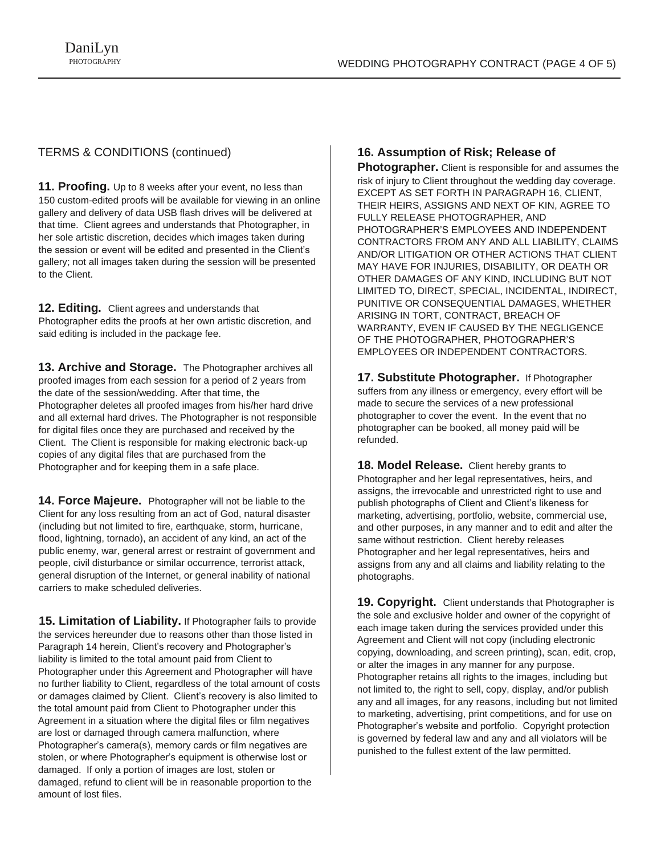# TERMS & CONDITIONS (continued)

**11. Proofing.** Up to 8 weeks after your event, no less than 150 custom-edited proofs will be available for viewing in an online gallery and delivery of data USB flash drives will be delivered at that time. Client agrees and understands that Photographer, in her sole artistic discretion, decides which images taken during the session or event will be edited and presented in the Client's gallery; not all images taken during the session will be presented to the Client.

**12. Editing.** Client agrees and understands that Photographer edits the proofs at her own artistic discretion, and said editing is included in the package fee.

**13. Archive and Storage.** The Photographer archives all proofed images from each session for a period of 2 years from the date of the session/wedding. After that time, the Photographer deletes all proofed images from his/her hard drive and all external hard drives. The Photographer is not responsible for digital files once they are purchased and received by the Client. The Client is responsible for making electronic back-up copies of any digital files that are purchased from the Photographer and for keeping them in a safe place.

**14. Force Majeure.** Photographer will not be liable to the Client for any loss resulting from an act of God, natural disaster (including but not limited to fire, earthquake, storm, hurricane, flood, lightning, tornado), an accident of any kind, an act of the public enemy, war, general arrest or restraint of government and people, civil disturbance or similar occurrence, terrorist attack, general disruption of the Internet, or general inability of national carriers to make scheduled deliveries.

**15. Limitation of Liability.** If Photographer fails to provide the services hereunder due to reasons other than those listed in Paragraph 14 herein, Client's recovery and Photographer's liability is limited to the total amount paid from Client to Photographer under this Agreement and Photographer will have no further liability to Client, regardless of the total amount of costs or damages claimed by Client. Client's recovery is also limited to the total amount paid from Client to Photographer under this Agreement in a situation where the digital files or film negatives are lost or damaged through camera malfunction, where Photographer's camera(s), memory cards or film negatives are stolen, or where Photographer's equipment is otherwise lost or damaged. If only a portion of images are lost, stolen or damaged, refund to client will be in reasonable proportion to the amount of lost files.

# **16. Assumption of Risk; Release of**

**Photographer.** Client is responsible for and assumes the risk of injury to Client throughout the wedding day coverage. EXCEPT AS SET FORTH IN PARAGRAPH 16, CLIENT, THEIR HEIRS, ASSIGNS AND NEXT OF KIN, AGREE TO FULLY RELEASE PHOTOGRAPHER, AND PHOTOGRAPHER'S EMPLOYEES AND INDEPENDENT CONTRACTORS FROM ANY AND ALL LIABILITY, CLAIMS AND/OR LITIGATION OR OTHER ACTIONS THAT CLIENT MAY HAVE FOR INJURIES, DISABILITY, OR DEATH OR OTHER DAMAGES OF ANY KIND, INCLUDING BUT NOT LIMITED TO, DIRECT, SPECIAL, INCIDENTAL, INDIRECT, PUNITIVE OR CONSEQUENTIAL DAMAGES, WHETHER ARISING IN TORT, CONTRACT, BREACH OF WARRANTY, EVEN IF CAUSED BY THE NEGLIGENCE OF THE PHOTOGRAPHER, PHOTOGRAPHER'S EMPLOYEES OR INDEPENDENT CONTRACTORS.

**17. Substitute Photographer.** If Photographer suffers from any illness or emergency, every effort will be made to secure the services of a new professional photographer to cover the event. In the event that no photographer can be booked, all money paid will be refunded.

**18. Model Release.** Client hereby grants to Photographer and her legal representatives, heirs, and assigns, the irrevocable and unrestricted right to use and publish photographs of Client and Client's likeness for marketing, advertising, portfolio, website, commercial use, and other purposes, in any manner and to edit and alter the same without restriction. Client hereby releases Photographer and her legal representatives, heirs and assigns from any and all claims and liability relating to the photographs.

**19. Copyright.** Client understands that Photographer is the sole and exclusive holder and owner of the copyright of each image taken during the services provided under this Agreement and Client will not copy (including electronic copying, downloading, and screen printing), scan, edit, crop, or alter the images in any manner for any purpose. Photographer retains all rights to the images, including but not limited to, the right to sell, copy, display, and/or publish any and all images, for any reasons, including but not limited to marketing, advertising, print competitions, and for use on Photographer's website and portfolio. Copyright protection is governed by federal law and any and all violators will be punished to the fullest extent of the law permitted.